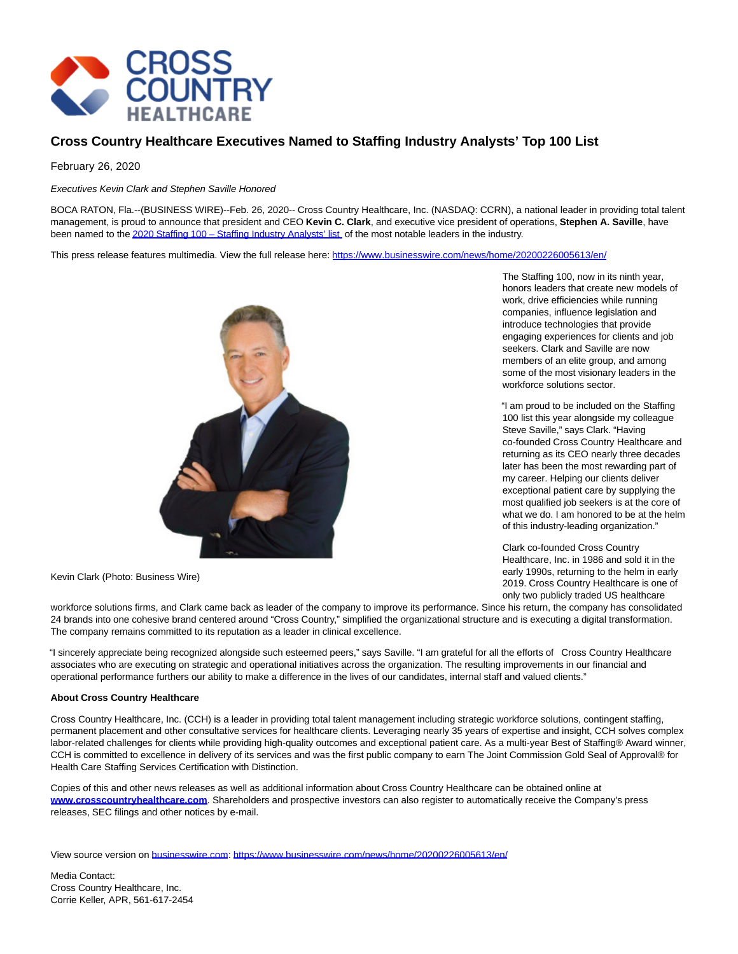

## **Cross Country Healthcare Executives Named to Staffing Industry Analysts' Top 100 List**

## February 26, 2020

Executives Kevin Clark and Stephen Saville Honored

BOCA RATON, Fla.--(BUSINESS WIRE)--Feb. 26, 2020-- Cross Country Healthcare, Inc. (NASDAQ: CCRN), a national leader in providing total talent management, is proud to announce that president and CEO **Kevin C. Clark**, and executive vice president of operations, **Stephen A. Saville**, have been named to the 2020 Staffing 100 – Staffing Industry Analysts' list, of the most notable leaders in the industry.

This press release features multimedia. View the full release here:<https://www.businesswire.com/news/home/20200226005613/en/>



Kevin Clark (Photo: Business Wire)

workforce solutions firms, and Clark came back as leader of the company to improve its performance. Since his return, the company has consolidated 24 brands into one cohesive brand centered around "Cross Country," simplified the organizational structure and is executing a digital transformation. The company remains committed to its reputation as a leader in clinical excellence.

"I sincerely appreciate being recognized alongside such esteemed peers," says Saville. "I am grateful for all the efforts of Cross Country Healthcare associates who are executing on strategic and operational initiatives across the organization. The resulting improvements in our financial and operational performance furthers our ability to make a difference in the lives of our candidates, internal staff and valued clients."

## **About Cross Country Healthcare**

Cross Country Healthcare, Inc. (CCH) is a leader in providing total talent management including strategic workforce solutions, contingent staffing, permanent placement and other consultative services for healthcare clients. Leveraging nearly 35 years of expertise and insight, CCH solves complex labor-related challenges for clients while providing high-quality outcomes and exceptional patient care. As a multi-year Best of Staffing® Award winner, CCH is committed to excellence in delivery of its services and was the first public company to earn The Joint Commission Gold Seal of Approval® for Health Care Staffing Services Certification with Distinction.

Copies of this and other news releases as well as additional information about Cross Country Healthcare can be obtained online at **[www.crosscountryhealthcare.com](https://cts.businesswire.com/ct/CT?id=smartlink&url=http%3A%2F%2Fwww.crosscountryhealthcare.com&esheet=52179964&newsitemid=20200226005613&lan=en-US&anchor=www.crosscountryhealthcare.com&index=2&md5=3e50557d8bd2bd89d6d312151726cd1f)**. Shareholders and prospective investors can also register to automatically receive the Company's press releases, SEC filings and other notices by e-mail.

View source version on [businesswire.com:](http://businesswire.com/)<https://www.businesswire.com/news/home/20200226005613/en/>

Media Contact: Cross Country Healthcare, Inc. Corrie Keller, APR, 561-617-2454 The Staffing 100, now in its ninth year, honors leaders that create new models of work, drive efficiencies while running companies, influence legislation and introduce technologies that provide engaging experiences for clients and job seekers. Clark and Saville are now members of an elite group, and among some of the most visionary leaders in the workforce solutions sector.

"I am proud to be included on the Staffing 100 list this year alongside my colleague Steve Saville," says Clark. "Having co-founded Cross Country Healthcare and returning as its CEO nearly three decades later has been the most rewarding part of my career. Helping our clients deliver exceptional patient care by supplying the most qualified job seekers is at the core of what we do. I am honored to be at the helm of this industry-leading organization."

Clark co-founded Cross Country Healthcare, Inc. in 1986 and sold it in the early 1990s, returning to the helm in early 2019. Cross Country Healthcare is one of only two publicly traded US healthcare